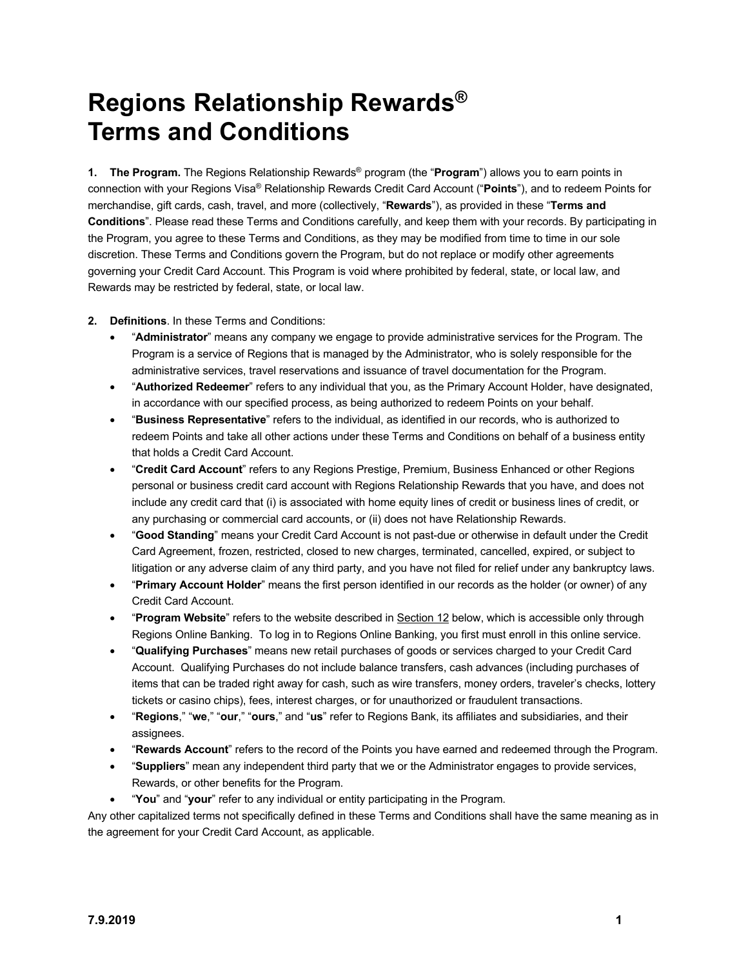# **Regions Relationship Rewards® Terms and Conditions**

**1. The Program.** The Regions Relationship Rewards® program (the "**Program**") allows you to earn points in connection with your Regions Visa® Relationship Rewards Credit Card Account ("**Points**"), and to redeem Points for merchandise, gift cards, cash, travel, and more (collectively, "**Rewards**"), as provided in these "**Terms and Conditions**". Please read these Terms and Conditions carefully, and keep them with your records. By participating in the Program, you agree to these Terms and Conditions, as they may be modified from time to time in our sole discretion. These Terms and Conditions govern the Program, but do not replace or modify other agreements governing your Credit Card Account. This Program is void where prohibited by federal, state, or local law, and Rewards may be restricted by federal, state, or local law.

#### **2. Definitions**. In these Terms and Conditions:

- "**Administrator**" means any company we engage to provide administrative services for the Program. The Program is a service of Regions that is managed by the Administrator, who is solely responsible for the administrative services, travel reservations and issuance of travel documentation for the Program.
- "**Authorized Redeemer**" refers to any individual that you, as the Primary Account Holder, have designated, in accordance with our specified process, as being authorized to redeem Points on your behalf.
- "**Business Representative**" refers to the individual, as identified in our records, who is authorized to redeem Points and take all other actions under these Terms and Conditions on behalf of a business entity that holds a Credit Card Account.
- "**Credit Card Account**" refers to any Regions Prestige, Premium, Business Enhanced or other Regions personal or business credit card account with Regions Relationship Rewards that you have, and does not include any credit card that (i) is associated with home equity lines of credit or business lines of credit, or any purchasing or commercial card accounts, or (ii) does not have Relationship Rewards.
- "**Good Standing**" means your Credit Card Account is not past-due or otherwise in default under the Credit Card Agreement, frozen, restricted, closed to new charges, terminated, cancelled, expired, or subject to litigation or any adverse claim of any third party, and you have not filed for relief under any bankruptcy laws.
- "**Primary Account Holder**" means the first person identified in our records as the holder (or owner) of any Credit Card Account.
- "**Program Website**" refers to the website described in Section 12 below, which is accessible only through Regions Online Banking. To log in to Regions Online Banking, you first must enroll in this online service.
- "**Qualifying Purchases**" means new retail purchases of goods or services charged to your Credit Card Account. Qualifying Purchases do not include balance transfers, cash advances (including purchases of items that can be traded right away for cash, such as wire transfers, money orders, traveler's checks, lottery tickets or casino chips), fees, interest charges, or for unauthorized or fraudulent transactions.
- "**Regions**," "**we**," "**our**," "**ours**," and "**us**" refer to Regions Bank, its affiliates and subsidiaries, and their assignees.
- "**Rewards Account**" refers to the record of the Points you have earned and redeemed through the Program.
- "**Suppliers**" mean any independent third party that we or the Administrator engages to provide services, Rewards, or other benefits for the Program.
- "**You**" and "**your**" refer to any individual or entity participating in the Program.

Any other capitalized terms not specifically defined in these Terms and Conditions shall have the same meaning as in the agreement for your Credit Card Account, as applicable.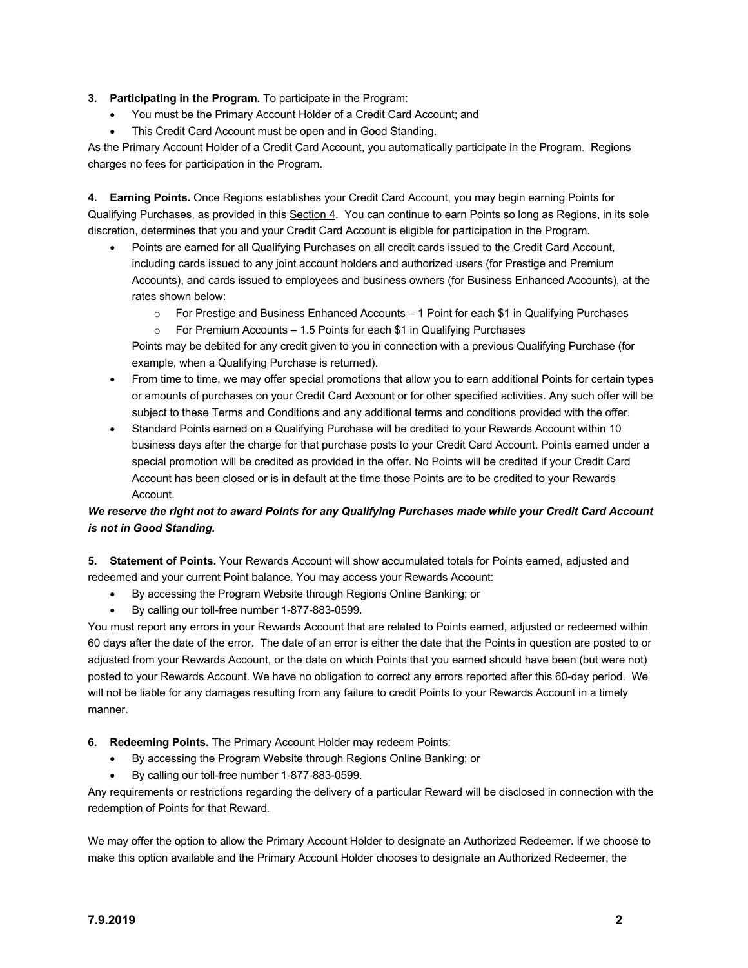### **3. Participating in the Program.** To participate in the Program:

- You must be the Primary Account Holder of a Credit Card Account; and
- This Credit Card Account must be open and in Good Standing.

As the Primary Account Holder of a Credit Card Account, you automatically participate in the Program. Regions charges no fees for participation in the Program.

**4. Earning Points.** Once Regions establishes your Credit Card Account, you may begin earning Points for Qualifying Purchases, as provided in this Section 4. You can continue to earn Points so long as Regions, in its sole discretion, determines that you and your Credit Card Account is eligible for participation in the Program.

- Points are earned for all Qualifying Purchases on all credit cards issued to the Credit Card Account, including cards issued to any joint account holders and authorized users (for Prestige and Premium Accounts), and cards issued to employees and business owners (for Business Enhanced Accounts), at the rates shown below:
	- o For Prestige and Business Enhanced Accounts 1 Point for each \$1 in Qualifying Purchases
	- $\circ$  For Premium Accounts 1.5 Points for each \$1 in Qualifying Purchases

Points may be debited for any credit given to you in connection with a previous Qualifying Purchase (for example, when a Qualifying Purchase is returned).

- From time to time, we may offer special promotions that allow you to earn additional Points for certain types or amounts of purchases on your Credit Card Account or for other specified activities. Any such offer will be subject to these Terms and Conditions and any additional terms and conditions provided with the offer.
- Standard Points earned on a Qualifying Purchase will be credited to your Rewards Account within 10 business days after the charge for that purchase posts to your Credit Card Account. Points earned under a special promotion will be credited as provided in the offer. No Points will be credited if your Credit Card Account has been closed or is in default at the time those Points are to be credited to your Rewards Account.

## *We reserve the right not to award Points for any Qualifying Purchases made while your Credit Card Account is not in Good Standing.*

**5. Statement of Points.** Your Rewards Account will show accumulated totals for Points earned, adjusted and redeemed and your current Point balance. You may access your Rewards Account:

- By accessing the Program Website through Regions Online Banking; or
- By calling our toll-free number 1-877-883-0599.

You must report any errors in your Rewards Account that are related to Points earned, adjusted or redeemed within 60 days after the date of the error. The date of an error is either the date that the Points in question are posted to or adjusted from your Rewards Account, or the date on which Points that you earned should have been (but were not) posted to your Rewards Account. We have no obligation to correct any errors reported after this 60-day period. We will not be liable for any damages resulting from any failure to credit Points to your Rewards Account in a timely manner.

- **6. Redeeming Points.** The Primary Account Holder may redeem Points:
	- By accessing the Program Website through Regions Online Banking; or
	- By calling our toll-free number 1-877-883-0599.

Any requirements or restrictions regarding the delivery of a particular Reward will be disclosed in connection with the redemption of Points for that Reward.

We may offer the option to allow the Primary Account Holder to designate an Authorized Redeemer. If we choose to make this option available and the Primary Account Holder chooses to designate an Authorized Redeemer, the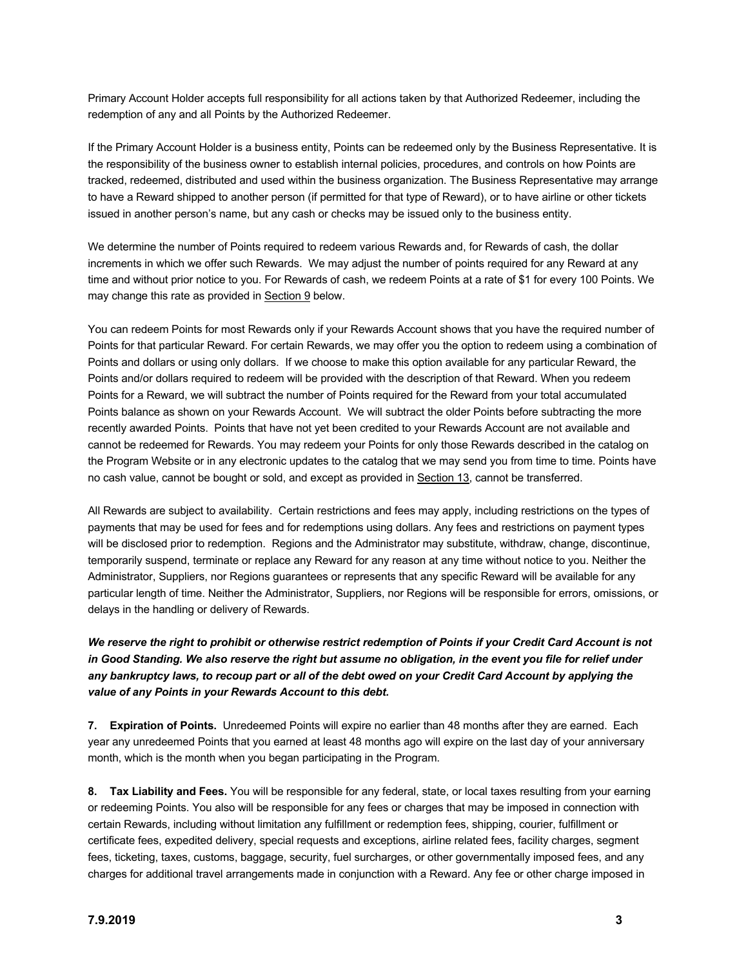Primary Account Holder accepts full responsibility for all actions taken by that Authorized Redeemer, including the redemption of any and all Points by the Authorized Redeemer.

If the Primary Account Holder is a business entity, Points can be redeemed only by the Business Representative. It is the responsibility of the business owner to establish internal policies, procedures, and controls on how Points are tracked, redeemed, distributed and used within the business organization. The Business Representative may arrange to have a Reward shipped to another person (if permitted for that type of Reward), or to have airline or other tickets issued in another person's name, but any cash or checks may be issued only to the business entity.

We determine the number of Points required to redeem various Rewards and, for Rewards of cash, the dollar increments in which we offer such Rewards. We may adjust the number of points required for any Reward at any time and without prior notice to you. For Rewards of cash, we redeem Points at a rate of \$1 for every 100 Points. We may change this rate as provided in Section 9 below.

You can redeem Points for most Rewards only if your Rewards Account shows that you have the required number of Points for that particular Reward. For certain Rewards, we may offer you the option to redeem using a combination of Points and dollars or using only dollars. If we choose to make this option available for any particular Reward, the Points and/or dollars required to redeem will be provided with the description of that Reward. When you redeem Points for a Reward, we will subtract the number of Points required for the Reward from your total accumulated Points balance as shown on your Rewards Account. We will subtract the older Points before subtracting the more recently awarded Points. Points that have not yet been credited to your Rewards Account are not available and cannot be redeemed for Rewards. You may redeem your Points for only those Rewards described in the catalog on the Program Website or in any electronic updates to the catalog that we may send you from time to time. Points have no cash value, cannot be bought or sold, and except as provided in Section 13, cannot be transferred.

All Rewards are subject to availability. Certain restrictions and fees may apply, including restrictions on the types of payments that may be used for fees and for redemptions using dollars. Any fees and restrictions on payment types will be disclosed prior to redemption. Regions and the Administrator may substitute, withdraw, change, discontinue, temporarily suspend, terminate or replace any Reward for any reason at any time without notice to you. Neither the Administrator, Suppliers, nor Regions guarantees or represents that any specific Reward will be available for any particular length of time. Neither the Administrator, Suppliers, nor Regions will be responsible for errors, omissions, or delays in the handling or delivery of Rewards.

## *We reserve the right to prohibit or otherwise restrict redemption of Points if your Credit Card Account is not in Good Standing. We also reserve the right but assume no obligation, in the event you file for relief under any bankruptcy laws, to recoup part or all of the debt owed on your Credit Card Account by applying the value of any Points in your Rewards Account to this debt.*

**7. Expiration of Points.** Unredeemed Points will expire no earlier than 48 months after they are earned. Each year any unredeemed Points that you earned at least 48 months ago will expire on the last day of your anniversary month, which is the month when you began participating in the Program.

**8. Tax Liability and Fees.** You will be responsible for any federal, state, or local taxes resulting from your earning or redeeming Points. You also will be responsible for any fees or charges that may be imposed in connection with certain Rewards, including without limitation any fulfillment or redemption fees, shipping, courier, fulfillment or certificate fees, expedited delivery, special requests and exceptions, airline related fees, facility charges, segment fees, ticketing, taxes, customs, baggage, security, fuel surcharges, or other governmentally imposed fees, and any charges for additional travel arrangements made in conjunction with a Reward. Any fee or other charge imposed in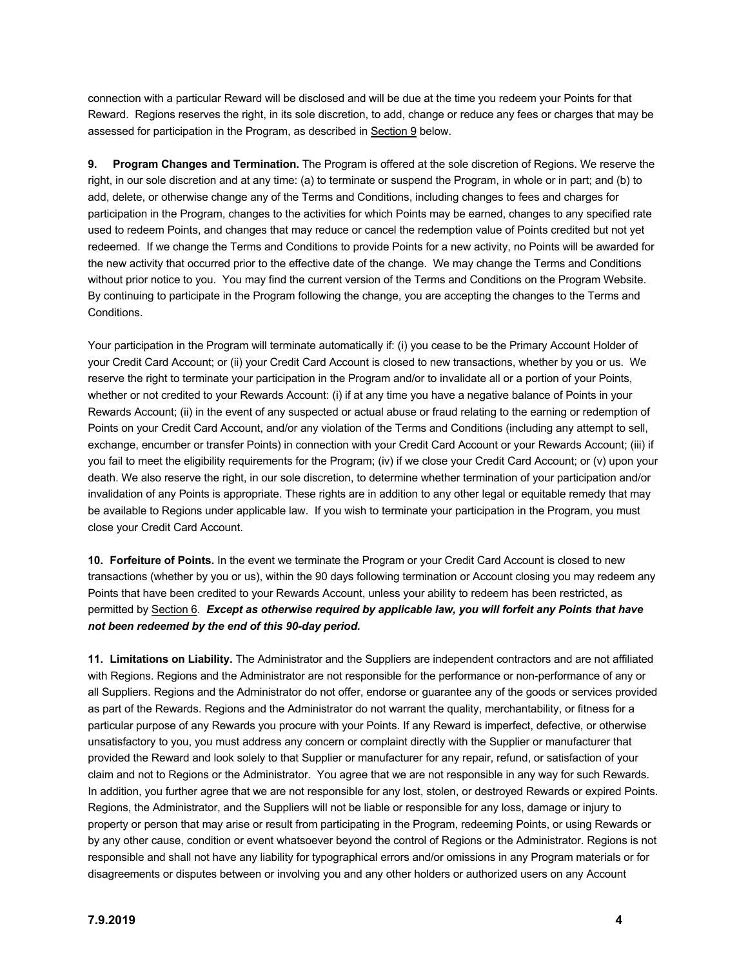connection with a particular Reward will be disclosed and will be due at the time you redeem your Points for that Reward. Regions reserves the right, in its sole discretion, to add, change or reduce any fees or charges that may be assessed for participation in the Program, as described in Section 9 below.

**9. Program Changes and Termination.** The Program is offered at the sole discretion of Regions. We reserve the right, in our sole discretion and at any time: (a) to terminate or suspend the Program, in whole or in part; and (b) to add, delete, or otherwise change any of the Terms and Conditions, including changes to fees and charges for participation in the Program, changes to the activities for which Points may be earned, changes to any specified rate used to redeem Points, and changes that may reduce or cancel the redemption value of Points credited but not yet redeemed. If we change the Terms and Conditions to provide Points for a new activity, no Points will be awarded for the new activity that occurred prior to the effective date of the change. We may change the Terms and Conditions without prior notice to you. You may find the current version of the Terms and Conditions on the Program Website. By continuing to participate in the Program following the change, you are accepting the changes to the Terms and Conditions.

Your participation in the Program will terminate automatically if: (i) you cease to be the Primary Account Holder of your Credit Card Account; or (ii) your Credit Card Account is closed to new transactions, whether by you or us. We reserve the right to terminate your participation in the Program and/or to invalidate all or a portion of your Points, whether or not credited to your Rewards Account: (i) if at any time you have a negative balance of Points in your Rewards Account; (ii) in the event of any suspected or actual abuse or fraud relating to the earning or redemption of Points on your Credit Card Account, and/or any violation of the Terms and Conditions (including any attempt to sell, exchange, encumber or transfer Points) in connection with your Credit Card Account or your Rewards Account; (iii) if you fail to meet the eligibility requirements for the Program; (iv) if we close your Credit Card Account; or (v) upon your death. We also reserve the right, in our sole discretion, to determine whether termination of your participation and/or invalidation of any Points is appropriate. These rights are in addition to any other legal or equitable remedy that may be available to Regions under applicable law. If you wish to terminate your participation in the Program, you must close your Credit Card Account.

**10. Forfeiture of Points.** In the event we terminate the Program or your Credit Card Account is closed to new transactions (whether by you or us), within the 90 days following termination or Account closing you may redeem any Points that have been credited to your Rewards Account, unless your ability to redeem has been restricted, as permitted by Section 6. *Except as otherwise required by applicable law, you will forfeit any Points that have not been redeemed by the end of this 90-day period.*

**11. Limitations on Liability.** The Administrator and the Suppliers are independent contractors and are not affiliated with Regions. Regions and the Administrator are not responsible for the performance or non-performance of any or all Suppliers. Regions and the Administrator do not offer, endorse or guarantee any of the goods or services provided as part of the Rewards. Regions and the Administrator do not warrant the quality, merchantability, or fitness for a particular purpose of any Rewards you procure with your Points. If any Reward is imperfect, defective, or otherwise unsatisfactory to you, you must address any concern or complaint directly with the Supplier or manufacturer that provided the Reward and look solely to that Supplier or manufacturer for any repair, refund, or satisfaction of your claim and not to Regions or the Administrator. You agree that we are not responsible in any way for such Rewards. In addition, you further agree that we are not responsible for any lost, stolen, or destroyed Rewards or expired Points. Regions, the Administrator, and the Suppliers will not be liable or responsible for any loss, damage or injury to property or person that may arise or result from participating in the Program, redeeming Points, or using Rewards or by any other cause, condition or event whatsoever beyond the control of Regions or the Administrator. Regions is not responsible and shall not have any liability for typographical errors and/or omissions in any Program materials or for disagreements or disputes between or involving you and any other holders or authorized users on any Account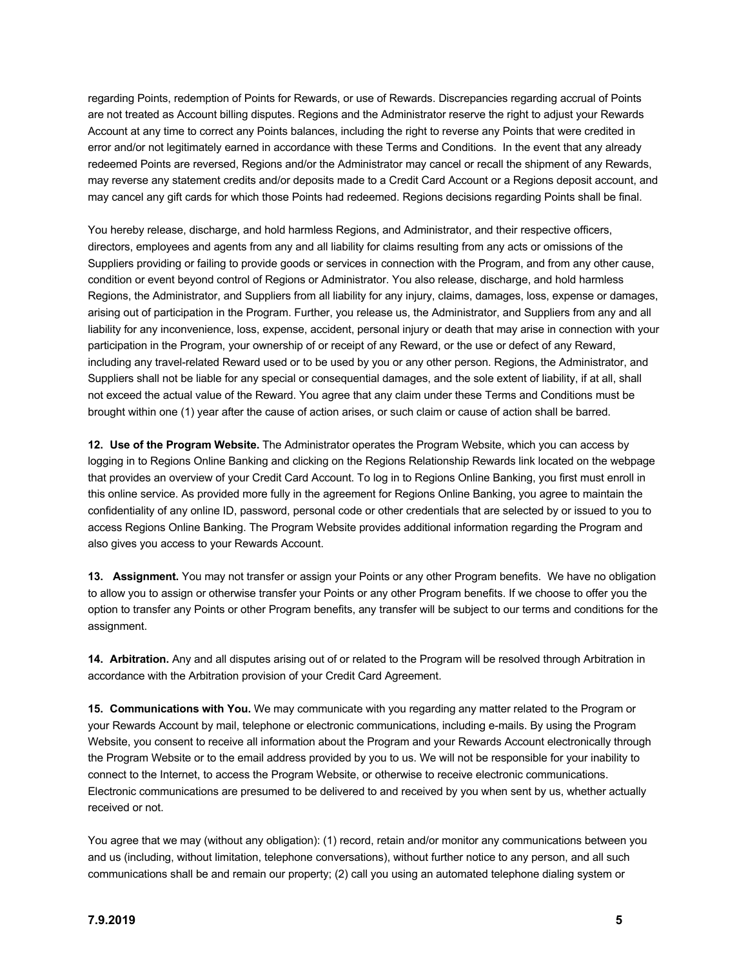regarding Points, redemption of Points for Rewards, or use of Rewards. Discrepancies regarding accrual of Points are not treated as Account billing disputes. Regions and the Administrator reserve the right to adjust your Rewards Account at any time to correct any Points balances, including the right to reverse any Points that were credited in error and/or not legitimately earned in accordance with these Terms and Conditions. In the event that any already redeemed Points are reversed, Regions and/or the Administrator may cancel or recall the shipment of any Rewards, may reverse any statement credits and/or deposits made to a Credit Card Account or a Regions deposit account, and may cancel any gift cards for which those Points had redeemed. Regions decisions regarding Points shall be final.

You hereby release, discharge, and hold harmless Regions, and Administrator, and their respective officers, directors, employees and agents from any and all liability for claims resulting from any acts or omissions of the Suppliers providing or failing to provide goods or services in connection with the Program, and from any other cause, condition or event beyond control of Regions or Administrator. You also release, discharge, and hold harmless Regions, the Administrator, and Suppliers from all liability for any injury, claims, damages, loss, expense or damages, arising out of participation in the Program. Further, you release us, the Administrator, and Suppliers from any and all liability for any inconvenience, loss, expense, accident, personal injury or death that may arise in connection with your participation in the Program, your ownership of or receipt of any Reward, or the use or defect of any Reward, including any travel-related Reward used or to be used by you or any other person. Regions, the Administrator, and Suppliers shall not be liable for any special or consequential damages, and the sole extent of liability, if at all, shall not exceed the actual value of the Reward. You agree that any claim under these Terms and Conditions must be brought within one (1) year after the cause of action arises, or such claim or cause of action shall be barred.

**12. Use of the Program Website.** The Administrator operates the Program Website, which you can access by logging in to Regions Online Banking and clicking on the Regions Relationship Rewards link located on the webpage that provides an overview of your Credit Card Account. To log in to Regions Online Banking, you first must enroll in this online service. As provided more fully in the agreement for Regions Online Banking, you agree to maintain the confidentiality of any online ID, password, personal code or other credentials that are selected by or issued to you to access Regions Online Banking. The Program Website provides additional information regarding the Program and also gives you access to your Rewards Account.

**13. Assignment.** You may not transfer or assign your Points or any other Program benefits. We have no obligation to allow you to assign or otherwise transfer your Points or any other Program benefits. If we choose to offer you the option to transfer any Points or other Program benefits, any transfer will be subject to our terms and conditions for the assignment.

**14. Arbitration.** Any and all disputes arising out of or related to the Program will be resolved through Arbitration in accordance with the Arbitration provision of your Credit Card Agreement.

**15. Communications with You.** We may communicate with you regarding any matter related to the Program or your Rewards Account by mail, telephone or electronic communications, including e-mails. By using the Program Website, you consent to receive all information about the Program and your Rewards Account electronically through the Program Website or to the email address provided by you to us. We will not be responsible for your inability to connect to the Internet, to access the Program Website, or otherwise to receive electronic communications. Electronic communications are presumed to be delivered to and received by you when sent by us, whether actually received or not.

You agree that we may (without any obligation): (1) record, retain and/or monitor any communications between you and us (including, without limitation, telephone conversations), without further notice to any person, and all such communications shall be and remain our property; (2) call you using an automated telephone dialing system or